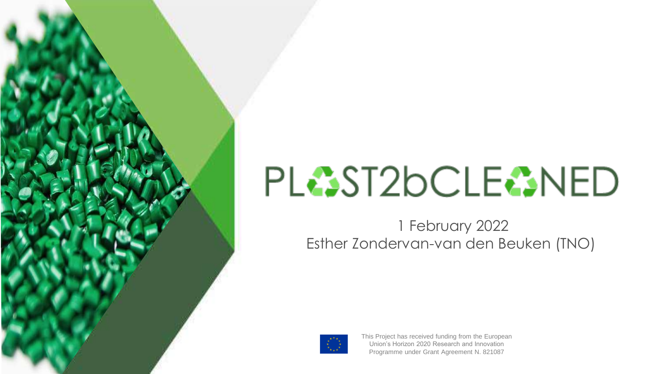# PL<sup>2</sup>ST2bCLE<sup>2</sup>NED

1 February 2022 Esther Zondervan-van den Beuken (TNO)



This Project has received funding from the European Union's Horizon 2020 Research and Innovation Programme under Grant Agreement N. 821087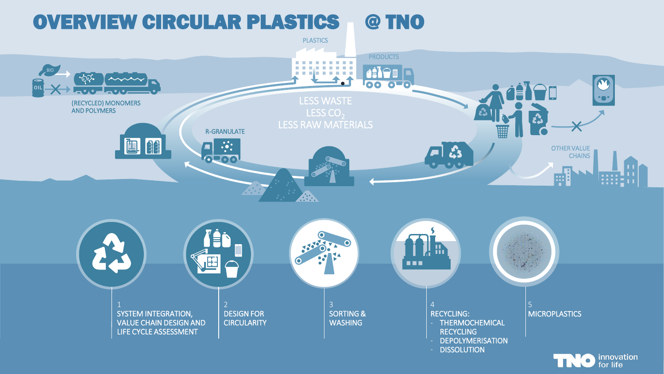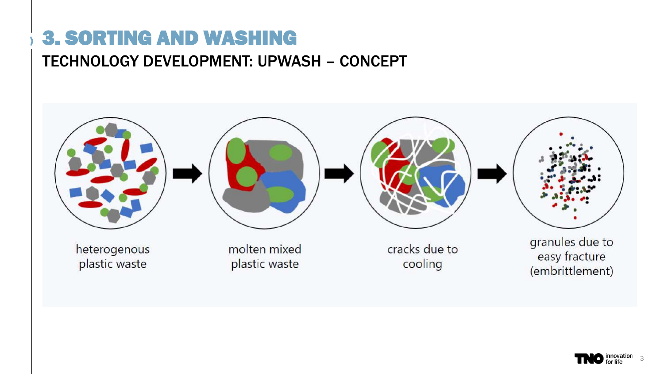### 3. SORTING AND WASHING

#### TECHNOLOGY DEVELOPMENT: UPWASH – CONCEPT



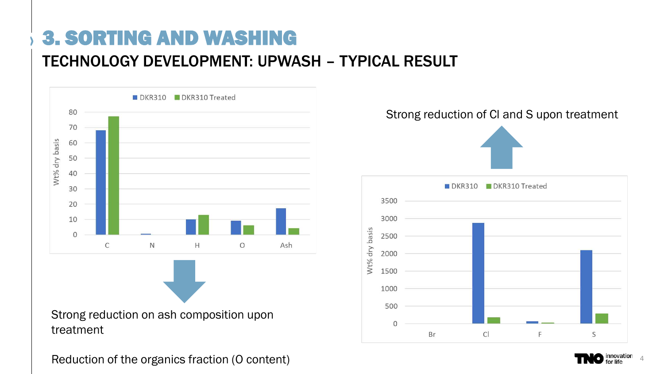### 3. SORTING AND WASHING

#### TECHNOLOGY DEVELOPMENT: UPWASH – TYPICAL RESULT



Strong reduction on ash composition upon treatment

Reduction of the organics fraction (O content)



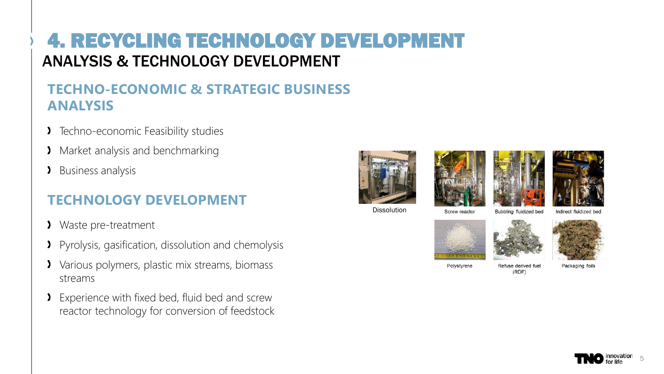#### 4. RECYCLING TECHNOLOGY DEVELOPMENT ANALYSIS & TECHNOLOGY DEVELOPMENT

#### **TECHNO-ECONOMIC & STRATEGIC BUSINESS ANALYSIS**

- Techno-economic Feasibility studies Σ
- **Market analysis and benchmarking**
- Business analysis Σ.

#### **TECHNOLOGY DEVELOPMENT**

- Σ Waste pre-treatment
- Pyrolysis, gasification, dissolution and chemolysis
- Various polymers, plastic mix streams, biomass streams
- Experience with fixed bed, fluid bed and screw Σ reactor technology for conversion of feedstock









Dissolution

Bubbling fluidized bed

Indirect fluidized bed



Screw reactor



Polystyrene

Refuse derived fuel  $(RDF)$ 

Packaging foils

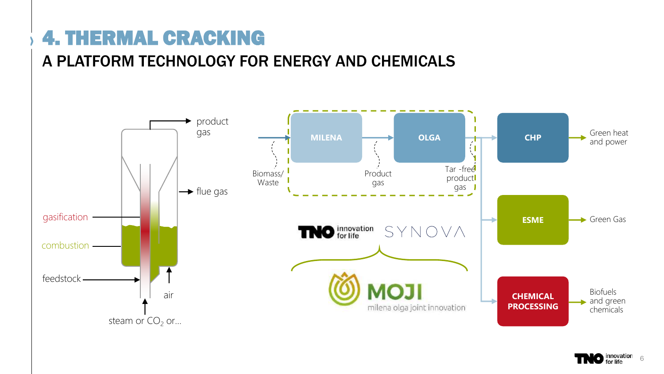### 4. THERMAL CRACKING

#### A PLATFORM TECHNOLOGY FOR ENERGY AND CHEMICALS



**innovation** 6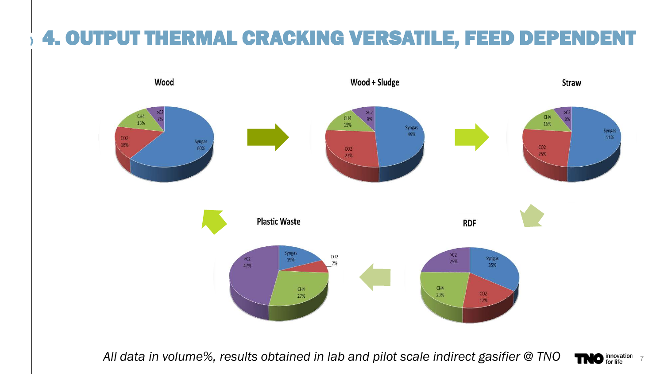### 4. OUTPUT THERMAL CRACKING VERSATILE, FEED DEPENDENT



All data in volume%, results obtained in lab and pilot scale indirect gasifier @ TNO **TNO** for life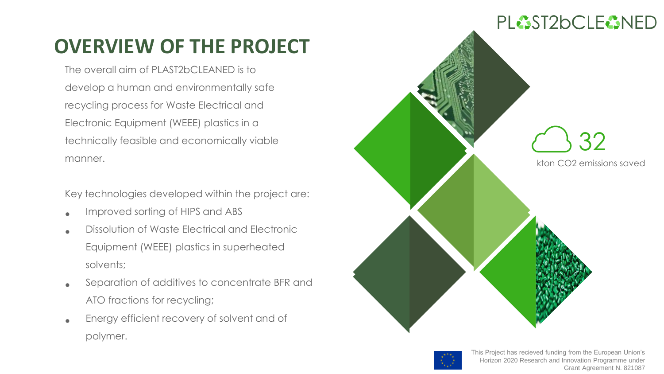### **OVERVIEW OF THE PROJECT**

The overall aim of PLAST2bCLEANED is to develop a human and environmentally safe recycling process for Waste Electrical and Electronic Equipment (WEEE) plastics in a technically feasible and economically viable manner.

Key technologies developed within the project are:

- Improved sorting of HIPS and ABS
- Dissolution of Waste Electrical and Electronic Equipment (WEEE) plastics in superheated solvents;
- Separation of additives to concentrate BFR and ATO fractions for recycling;
- Energy efficient recovery of solvent and of polymer.



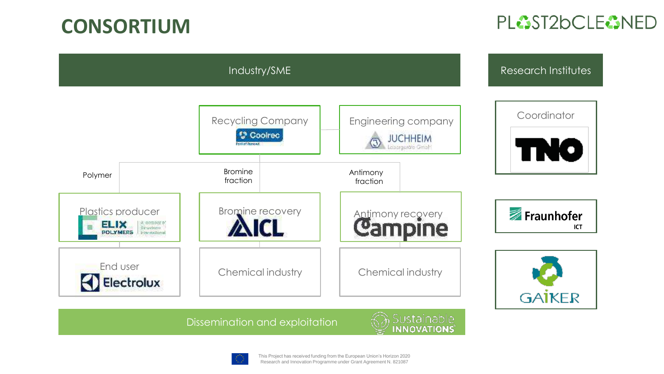### **CONSORTIUM**

#### PLAST2bCLEANED



Dissemination and exploitation

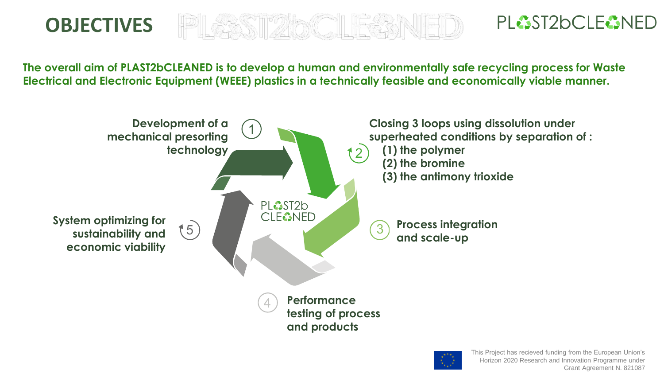### **OBJECTIVES**

PLAST2bCLEANED

**The overall aim of PLAST2bCLEANED is to develop a human and environmentally safe recycling process for Waste Electrical and Electronic Equipment (WEEE) plastics in a technically feasible and economically viable manner.** 



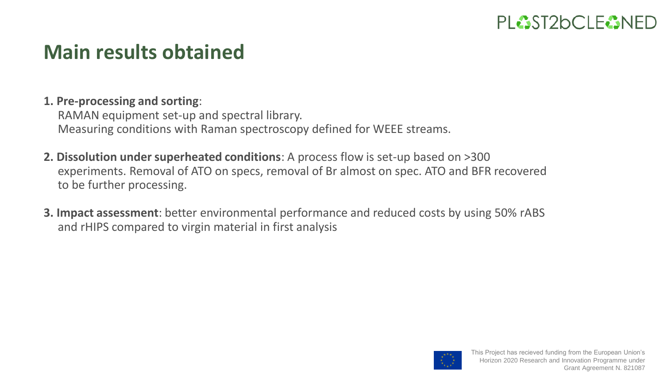

### **Main results obtained**

#### **1. Pre-processing and sorting**:

RAMAN equipment set-up and spectral library. Measuring conditions with Raman spectroscopy defined for WEEE streams.

- **2. Dissolution under superheated conditions**: A process flow is set-up based on >300 experiments. Removal of ATO on specs, removal of Br almost on spec. ATO and BFR recovered to be further processing.
- **3. Impact assessment**: better environmental performance and reduced costs by using 50% rABS and rHIPS compared to virgin material in first analysis

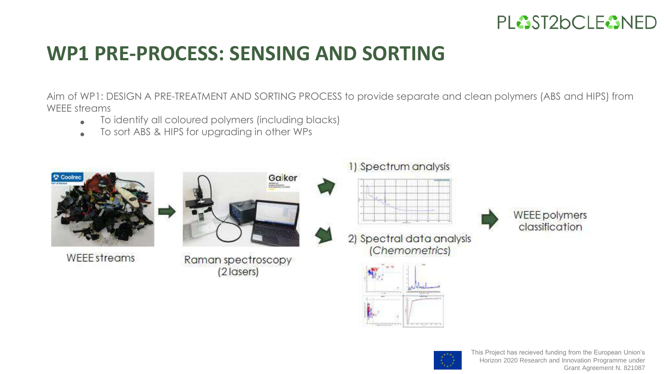

### **WP1 PRE-PROCESS: SENSING AND SORTING**

Aim of WP1: DESIGN A PRE-TREATMENT AND SORTING PROCESS to provide separate and clean polymers (ABS and HIPS) from WEEE streams

- To identify all coloured polymers (including blacks)
- To sort ABS & HIPS for upgrading in other WPs



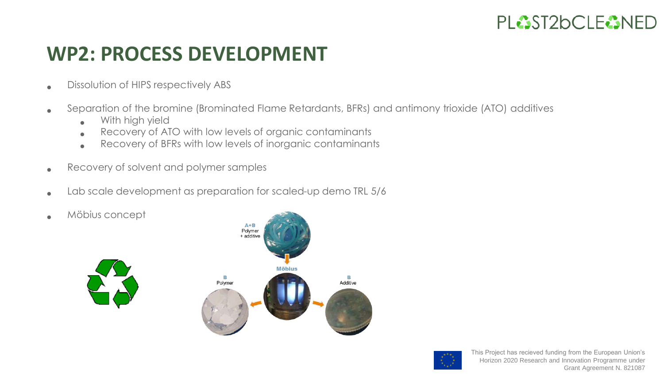### **WP2: PROCESS DEVELOPMENT**

- Dissolution of HIPS respectively ABS
- Separation of the bromine (Brominated Flame Retardants, BFRs) and antimony trioxide (ATO) additives
	- With high yield
	- Recovery of ATO with low levels of organic contaminants
	- Recovery of BFRs with low levels of inorganic contaminants
- Recovery of solvent and polymer samples
- Lab scale development as preparation for scaled-up demo TRL 5/6
- Möbius concept



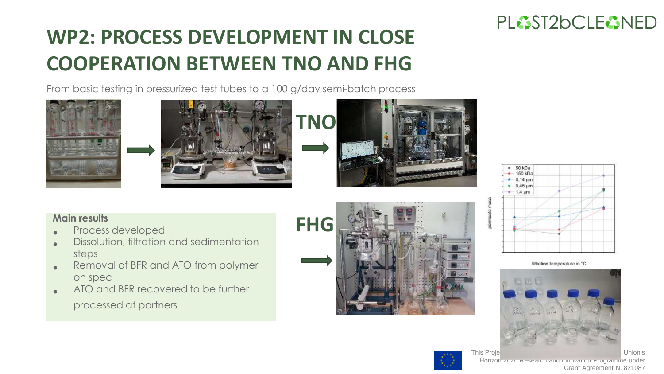# **WP2: PROCESS DEVELOPMENT IN CLOSE COOPERATION BETWEEN TNO AND FHG**

From basic testing in pressurized test tubes to a 100 g/day semi-batch process











- Process developed
- Dissolution, filtration and sedimentation steps
- Removal of BFR and ATO from polymer on spec
- ATO and BFR recovered to be further

processed at partners





filtration temperature in "C





This Project has recieved funding funding funding funding funding funding funding funding funding funding funding funding funding funding funding funding funding funding funding funding funding funding funding funding fund Horizon 2020 Research and Innovation Programme under Grant Agreement N. 821087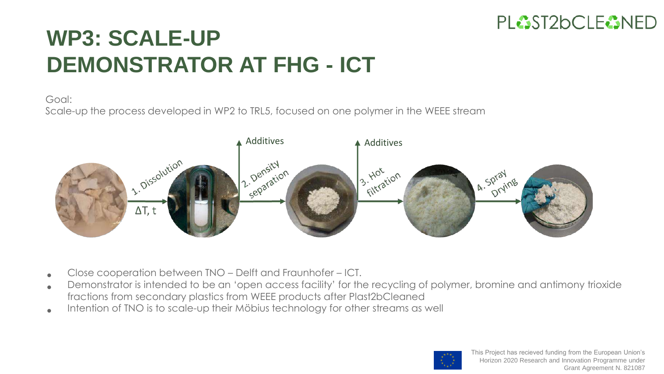

# **WP3: SCALE-UP DEMONSTRATOR AT FHG - ICT**

#### Goal:

Scale-up the process developed in WP2 to TRL5, focused on one polymer in the WEEE stream



- Close cooperation between TNO – Delft and Fraunhofer – ICT.
- Demonstrator is intended to be an 'open access facility' for the recycling of polymer, bromine and antimony trioxide fractions from secondary plastics from WEEE products after Plast2bCleaned
- Intention of TNO is to scale-up their Möbius technology for other streams as well

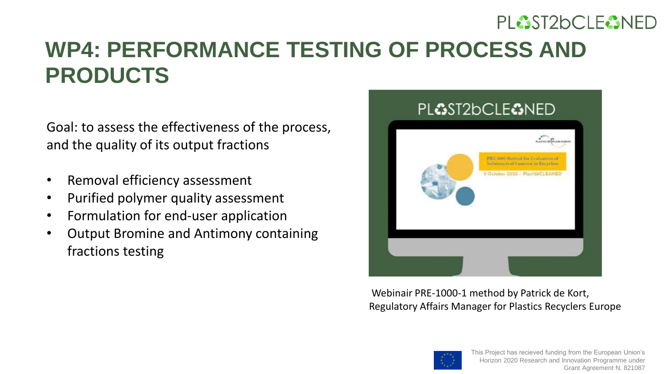### **WP4: PERFORMANCE TESTING OF PROCESS AND PRODUCTS**

Goal: to assess the effectiveness of the process, and the quality of its output fractions

- Removal efficiency assessment
- Purified polymer quality assessment
- Formulation for end-user application
- Output Bromine and Antimony containing fractions testing



Webinair PRE-1000-1 method by Patrick de Kort, Regulatory Affairs Manager for Plastics Recyclers Europe

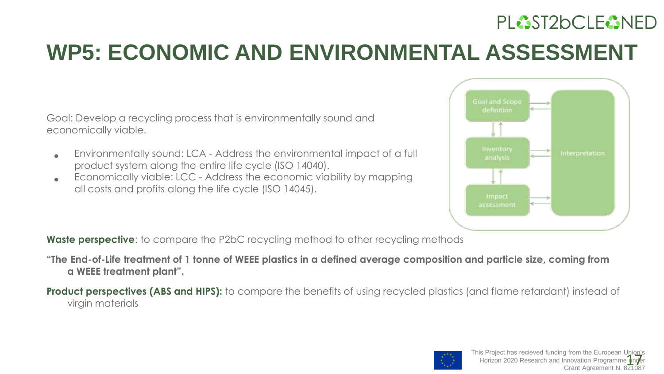# **WP5: ECONOMIC AND ENVIRONMENTAL ASSESSMENT**

Goal: Develop a recycling process that is environmentally sound and economically viable.

- Environmentally sound: LCA - Address the environmental impact of a full product system along the entire life cycle (ISO 14040).
- Economically viable: LCC - Address the economic viability by mapping all costs and profits along the life cycle (ISO 14045).



**Waste perspective**: to compare the P2bC recycling method to other recycling methods

**"The End-of-Life treatment of 1 tonne of WEEE plastics in a defined average composition and particle size, coming from a WEEE treatment plant".**

**Product perspectives (ABS and HIPS):** to compare the benefits of using recycled plastics (and flame retardant) instead of virgin materials

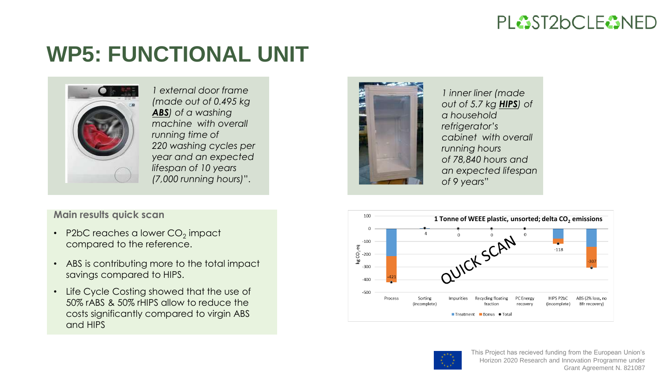## **WP5: FUNCTIONAL UNIT**



*1 external door frame (made out of 0.495 kg ABS) of a washing machine with overall running time of 220 washing cycles per year and an expected lifespan of 10 years (7,000 running hours)*".

#### **Main results quick scan**

- P2bC reaches a lower CO<sub>2</sub> impact compared to the reference.
- ABS is contributing more to the total impact savings compared to HIPS.
- Life Cycle Costing showed that the use of 50% rABS & 50% rHIPS allow to reduce the costs significantly compared to virgin ABS and HIPS



*1 inner liner (made out of 5.7 kg HIPS) of a household refrigerator's cabinet with overall running hours of 78,840 hours and an expected lifespan of 9 years*"



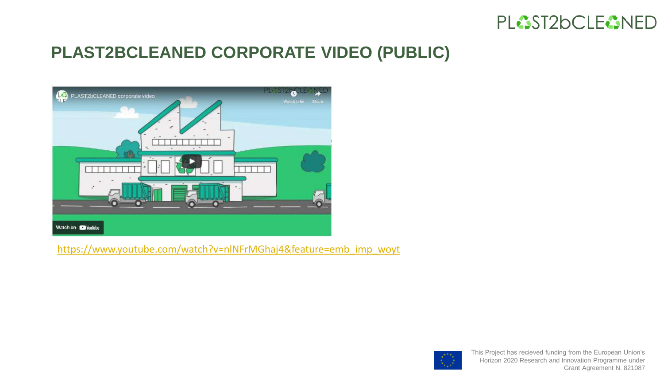

#### **PLAST2BCLEANED CORPORATE VIDEO (PUBLIC)**



[https://www.youtube.com/watch?v=nlNFrMGhaj4&feature=emb\\_imp\\_woyt](https://www.youtube.com/watch?v=nlNFrMGhaj4&feature=emb_imp_woyt)

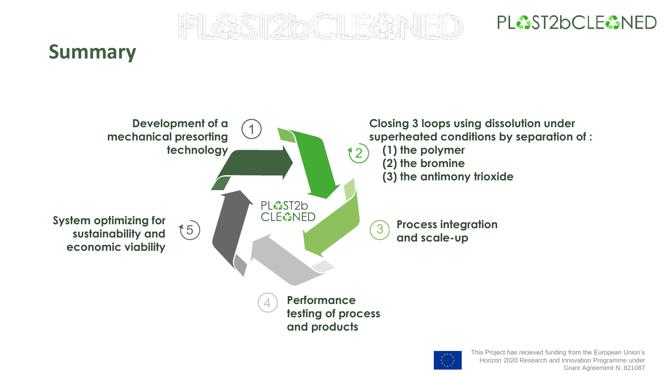

### **Summary**